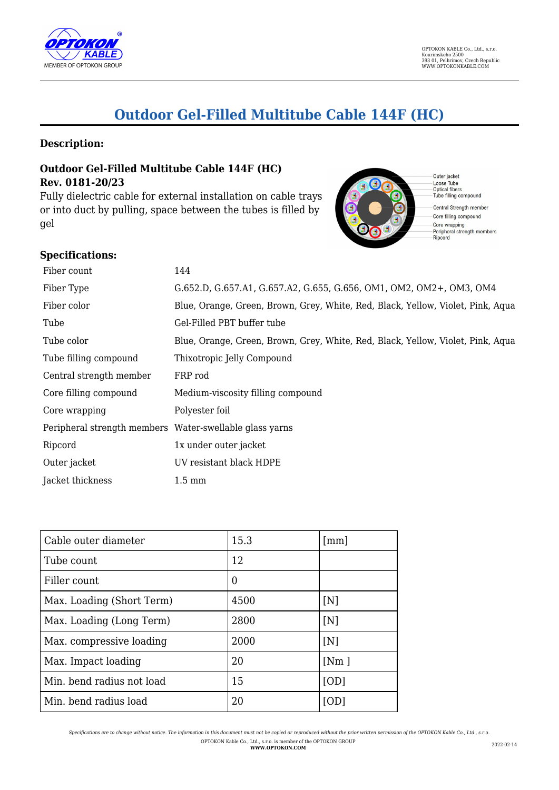

# **Outdoor Gel-Filled Multitube Cable 144F (HC)**

#### **Description:**

## **Outdoor Gel-Filled Multitube Cable 144F (HC) Rev. 0181-20/23**

Fully dielectric cable for external installation on cable trays or into duct by pulling, space between the tubes is filled by gel



Loose Tube<br>Optical fibers<br>Tube filling compound

Central Strength member Core filling compound - Core wrapping<br>- Peripheral strength members<br>- Ripcord

#### **Specifications:**

| Fiber count                                             | 144                                                                             |
|---------------------------------------------------------|---------------------------------------------------------------------------------|
| Fiber Type                                              | G.652.D, G.657.A1, G.657.A2, G.655, G.656, OM1, OM2, OM2+, OM3, OM4             |
| Fiber color                                             | Blue, Orange, Green, Brown, Grey, White, Red, Black, Yellow, Violet, Pink, Aqua |
| Tube                                                    | Gel-Filled PBT buffer tube                                                      |
| Tube color                                              | Blue, Orange, Green, Brown, Grey, White, Red, Black, Yellow, Violet, Pink, Aqua |
| Tube filling compound                                   | Thixotropic Jelly Compound                                                      |
| Central strength member                                 | FRP rod                                                                         |
| Core filling compound                                   | Medium-viscosity filling compound                                               |
| Core wrapping                                           | Polyester foil                                                                  |
| Peripheral strength members Water-swellable glass yarns |                                                                                 |
| Ripcord                                                 | 1x under outer jacket                                                           |
| Outer jacket                                            | UV resistant black HDPE                                                         |
| Jacket thickness                                        | $1.5 \text{ mm}$                                                                |

| Cable outer diameter      | 15.3           | $\lceil mm \rceil$ |
|---------------------------|----------------|--------------------|
| Tube count                | 12             |                    |
| Filler count              | $\overline{0}$ |                    |
| Max. Loading (Short Term) | 4500           | [N]                |
| Max. Loading (Long Term)  | 2800           | [N]                |
| Max. compressive loading  | 2000           | [N]                |
| Max. Impact loading       | 20             | [Nm]               |
| Min. bend radius not load | 15             | [OD]               |
| Min. bend radius load     | 20             | [OD]               |

*Specifications are to change without notice. The information in this document must not be copied or reproduced without the prior written permission of the OPTOKON Kable Co., Ltd., s.r.o.* OPTOKON Kable Co., Ltd., s.r.o. is member of the OPTOKON GROUP **WWW.OPTOKON.COM** 2022-02-14